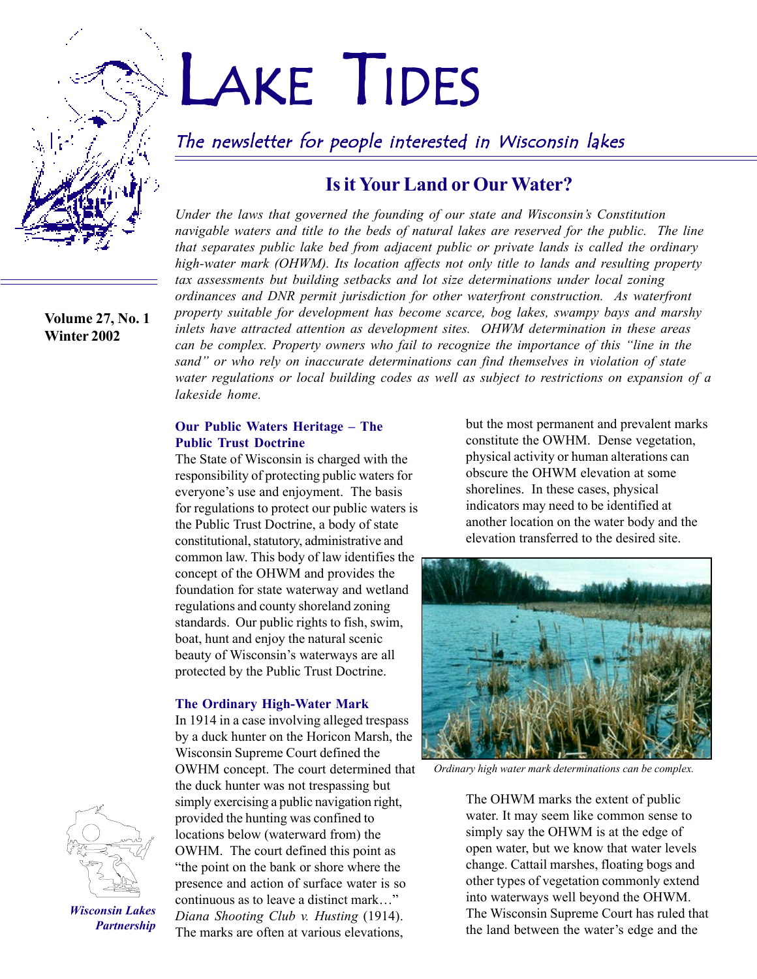

#### **Volume 27, No. 1 Winter 2002**

# LAKE TIDES

## The newsletter for people interested in Wisconsin lakes

## **Is it Your Land or Our Water?**

*Under the laws that governed the founding of our state and Wisconsinís Constitution navigable waters and title to the beds of natural lakes are reserved for the public. The line that separates public lake bed from adjacent public or private lands is called the ordinary high-water mark (OHWM). Its location affects not only title to lands and resulting property tax assessments but building setbacks and lot size determinations under local zoning ordinances and DNR permit jurisdiction for other waterfront construction. As waterfront property suitable for development has become scarce, bog lakes, swampy bays and marshy inlets have attracted attention as development sites. OHWM determination in these areas can be complex. Property owners who fail to recognize the importance of this "line in the* sand" or who rely on inaccurate determinations can find themselves in violation of state *water regulations or local building codes as well as subject to restrictions on expansion of a lakeside home.*

#### **Our Public Waters Heritage – The Public Trust Doctrine**

The State of Wisconsin is charged with the responsibility of protecting public waters for everyone's use and enjoyment. The basis for regulations to protect our public waters is the Public Trust Doctrine, a body of state constitutional, statutory, administrative and common law. This body of law identifies the concept of the OHWM and provides the foundation for state waterway and wetland regulations and county shoreland zoning standards. Our public rights to fish, swim, boat, hunt and enjoy the natural scenic beauty of Wisconsin's waterways are all protected by the Public Trust Doctrine.

#### **The Ordinary High-Water Mark**

In 1914 in a case involving alleged trespass by a duck hunter on the Horicon Marsh, the Wisconsin Supreme Court defined the OWHM concept. The court determined that the duck hunter was not trespassing but simply exercising a public navigation right, provided the hunting was confined to locations below (waterward from) the OWHM. The court defined this point as "the point on the bank or shore where the presence and action of surface water is so continuous as to leave a distinct mark..." *Diana Shooting Club v. Husting* (1914). The marks are often at various elevations,

but the most permanent and prevalent marks constitute the OWHM. Dense vegetation, physical activity or human alterations can obscure the OHWM elevation at some shorelines. In these cases, physical indicators may need to be identified at another location on the water body and the elevation transferred to the desired site.



*Ordinary high water mark determinations can be complex.*

The OHWM marks the extent of public water. It may seem like common sense to simply say the OHWM is at the edge of open water, but we know that water levels change. Cattail marshes, floating bogs and other types of vegetation commonly extend into waterways well beyond the OHWM. The Wisconsin Supreme Court has ruled that the land between the water's edge and the



*Wisconsin Lakes Partnership*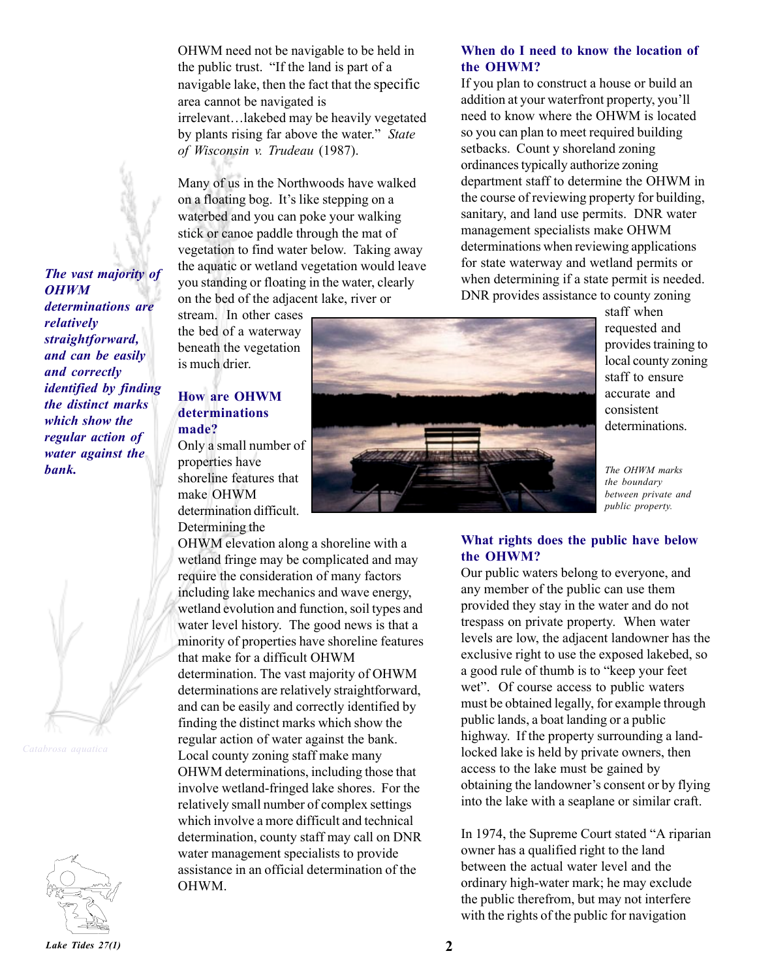OHWM need not be navigable to be held in the public trust. "If the land is part of a navigable lake, then the fact that the specific area cannot be navigated is irrelevant...lakebed may be heavily vegetated by plants rising far above the water.<sup>"</sup> State *of Wisconsin v. Trudeau* (1987).

Many of us in the Northwoods have walked on a floating bog. It's like stepping on a waterbed and you can poke your walking stick or canoe paddle through the mat of vegetation to find water below. Taking away the aquatic or wetland vegetation would leave you standing or floating in the water, clearly on the bed of the adjacent lake, river or

stream. In other cases the bed of a waterway beneath the vegetation is much drier.

#### **How are OHWM determinations made?**

Only a small number of properties have shoreline features that make OHWM determination difficult. Determining the

OHWM elevation along a shoreline with a wetland fringe may be complicated and may require the consideration of many factors including lake mechanics and wave energy, wetland evolution and function, soil types and water level history. The good news is that a minority of properties have shoreline features that make for a difficult OHWM determination. The vast majority of OHWM determinations are relatively straightforward, and can be easily and correctly identified by finding the distinct marks which show the regular action of water against the bank. Local county zoning staff make many OHWM determinations, including those that involve wetland-fringed lake shores. For the relatively small number of complex settings which involve a more difficult and technical determination, county staff may call on DNR water management specialists to provide assistance in an official determination of the OHWM.



If you plan to construct a house or build an addition at your waterfront property, you'll need to know where the OHWM is located so you can plan to meet required building setbacks. Count y shoreland zoning ordinances typically authorize zoning department staff to determine the OHWM in the course of reviewing property for building, sanitary, and land use permits. DNR water management specialists make OHWM determinations when reviewing applications for state waterway and wetland permits or when determining if a state permit is needed. DNR provides assistance to county zoning



staff when requested and provides training to local county zoning staff to ensure accurate and consistent determinations.

*the boundary between private and public property.*

#### **What rights does the public have below the OHWM?**

Our public waters belong to everyone, and any member of the public can use them provided they stay in the water and do not trespass on private property. When water levels are low, the adjacent landowner has the exclusive right to use the exposed lakebed, so a good rule of thumb is to "keep your feet wet". Of course access to public waters must be obtained legally, for example through public lands, a boat landing or a public highway. If the property surrounding a landlocked lake is held by private owners, then access to the lake must be gained by obtaining the landowner's consent or by flying into the lake with a seaplane or similar craft.

In 1974, the Supreme Court stated "A riparian" owner has a qualified right to the land between the actual water level and the ordinary high-water mark; he may exclude the public therefrom, but may not interfere with the rights of the public for navigation

*The vast majority of OHWM determinations are relatively straightforward, and can be easily and correctly identified by finding the distinct marks which show the regular action of water against the*



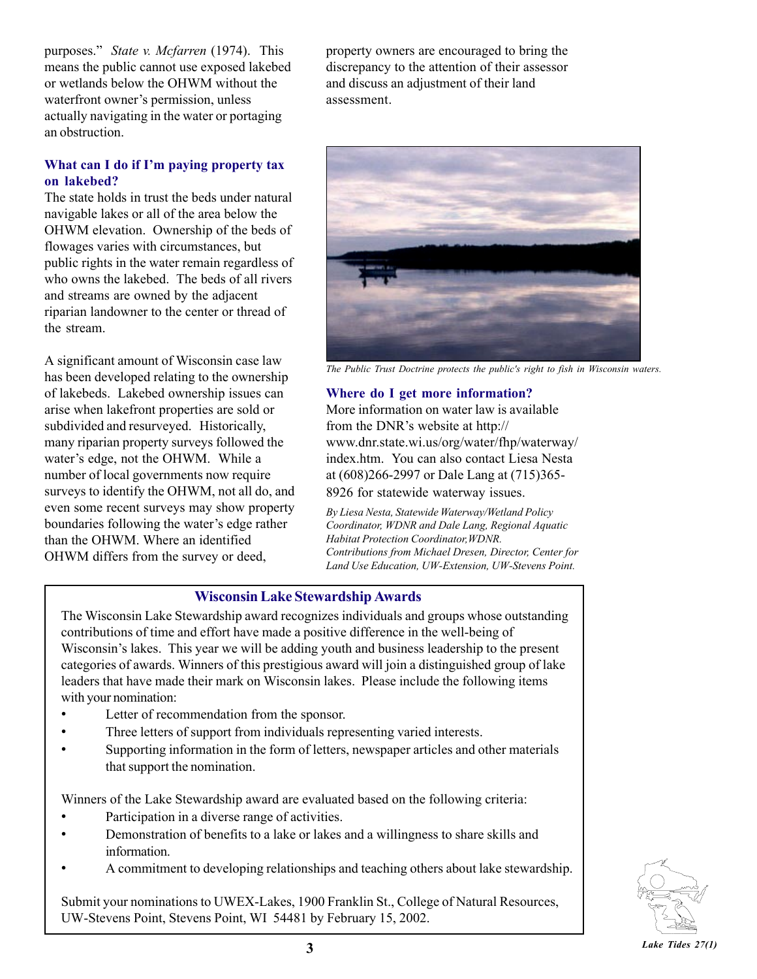purposes.î *State v. Mcfarren* (1974). This means the public cannot use exposed lakebed or wetlands below the OHWM without the waterfront owner's permission, unless actually navigating in the water or portaging an obstruction.

#### What can I do if I'm paying property tax **on lakebed?**

The state holds in trust the beds under natural navigable lakes or all of the area below the OHWM elevation. Ownership of the beds of flowages varies with circumstances, but public rights in the water remain regardless of who owns the lakebed. The beds of all rivers and streams are owned by the adjacent riparian landowner to the center or thread of the stream.

A significant amount of Wisconsin case law has been developed relating to the ownership of lakebeds. Lakebed ownership issues can arise when lakefront properties are sold or subdivided and resurveyed. Historically, many riparian property surveys followed the water's edge, not the OHWM. While a number of local governments now require surveys to identify the OHWM, not all do, and even some recent surveys may show property boundaries following the water's edge rather than the OHWM. Where an identified OHWM differs from the survey or deed,

property owners are encouraged to bring the discrepancy to the attention of their assessor and discuss an adjustment of their land assessment.



*The Public Trust Doctrine protects the public's right to fish in Wisconsin waters.*

#### **Where do I get more information?**

More information on water law is available from the DNR's website at http:// www.dnr.state.wi.us/org/water/fhp/waterway/ index.htm. You can also contact Liesa Nesta at (608)266-2997 or Dale Lang at (715)365- 8926 for statewide waterway issues.

*By Liesa Nesta, Statewide Waterway/Wetland Policy Coordinator, WDNR and Dale Lang, Regional Aquatic Habitat Protection Coordinator,WDNR. Contributions from Michael Dresen, Director, Center for Land Use Education, UW-Extension, UW-Stevens Point.*

#### **Wisconsin Lake Stewardship Awards**

The Wisconsin Lake Stewardship award recognizes individuals and groups whose outstanding contributions of time and effort have made a positive difference in the well-being of Wisconsin's lakes. This year we will be adding youth and business leadership to the present categories of awards. Winners of this prestigious award will join a distinguished group of lake leaders that have made their mark on Wisconsin lakes. Please include the following items with your nomination:

- Letter of recommendation from the sponsor.
- Three letters of support from individuals representing varied interests.
- Supporting information in the form of letters, newspaper articles and other materials that support the nomination.

Winners of the Lake Stewardship award are evaluated based on the following criteria:

- Participation in a diverse range of activities.
- Demonstration of benefits to a lake or lakes and a willingness to share skills and information.
- ï A commitment to developing relationships and teaching others about lake stewardship.

Submit your nominations to UWEX-Lakes, 1900 Franklin St., College of Natural Resources, UW-Stevens Point, Stevens Point, WI 54481 by February 15, 2002.

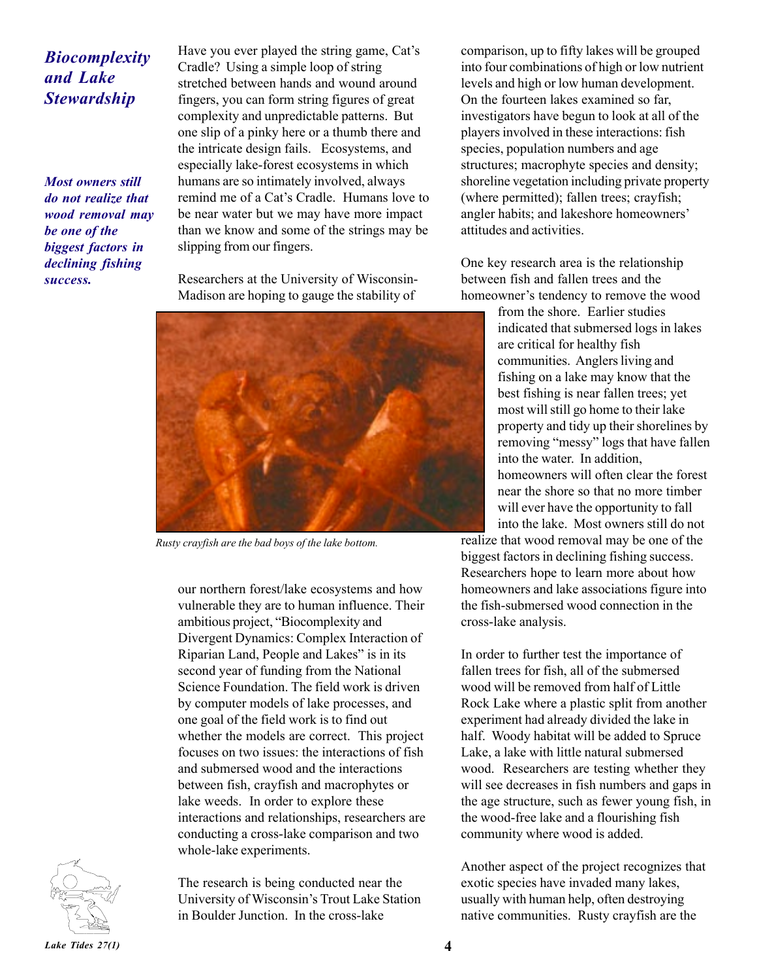## *Biocomplexity and Lake Stewardship*

*Most owners still do not realize that wood removal may be one of the biggest factors in declining fishing success.*

Have you ever played the string game, Cat's Cradle? Using a simple loop of string stretched between hands and wound around fingers, you can form string figures of great complexity and unpredictable patterns. But one slip of a pinky here or a thumb there and the intricate design fails. Ecosystems, and especially lake-forest ecosystems in which humans are so intimately involved, always remind me of a Cat's Cradle. Humans love to be near water but we may have more impact than we know and some of the strings may be slipping from our fingers.

Researchers at the University of Wisconsin-Madison are hoping to gauge the stability of



*Rusty crayfish are the bad boys of the lake bottom.*

our northern forest/lake ecosystems and how vulnerable they are to human influence. Their ambitious project, "Biocomplexity and Divergent Dynamics: Complex Interaction of Riparian Land, People and Lakes" is in its second year of funding from the National Science Foundation. The field work is driven by computer models of lake processes, and one goal of the field work is to find out whether the models are correct. This project focuses on two issues: the interactions of fish and submersed wood and the interactions between fish, crayfish and macrophytes or lake weeds. In order to explore these interactions and relationships, researchers are conducting a cross-lake comparison and two whole-lake experiments.

The research is being conducted near the University of Wisconsin's Trout Lake Station in Boulder Junction. In the cross-lake

comparison, up to fifty lakes will be grouped into four combinations of high or low nutrient levels and high or low human development. On the fourteen lakes examined so far, investigators have begun to look at all of the players involved in these interactions: fish species, population numbers and age structures; macrophyte species and density; shoreline vegetation including private property (where permitted); fallen trees; crayfish; angler habits; and lakeshore homeowners' attitudes and activities.

One key research area is the relationship between fish and fallen trees and the homeowner's tendency to remove the wood

> from the shore. Earlier studies indicated that submersed logs in lakes are critical for healthy fish communities. Anglers living and fishing on a lake may know that the best fishing is near fallen trees; yet most will still go home to their lake property and tidy up their shorelines by removing "messy" logs that have fallen into the water. In addition, homeowners will often clear the forest near the shore so that no more timber will ever have the opportunity to fall into the lake. Most owners still do not

realize that wood removal may be one of the biggest factors in declining fishing success. Researchers hope to learn more about how homeowners and lake associations figure into the fish-submersed wood connection in the cross-lake analysis.

In order to further test the importance of fallen trees for fish, all of the submersed wood will be removed from half of Little Rock Lake where a plastic split from another experiment had already divided the lake in half. Woody habitat will be added to Spruce Lake, a lake with little natural submersed wood. Researchers are testing whether they will see decreases in fish numbers and gaps in the age structure, such as fewer young fish, in the wood-free lake and a flourishing fish community where wood is added.

Another aspect of the project recognizes that exotic species have invaded many lakes, usually with human help, often destroying native communities. Rusty crayfish are the

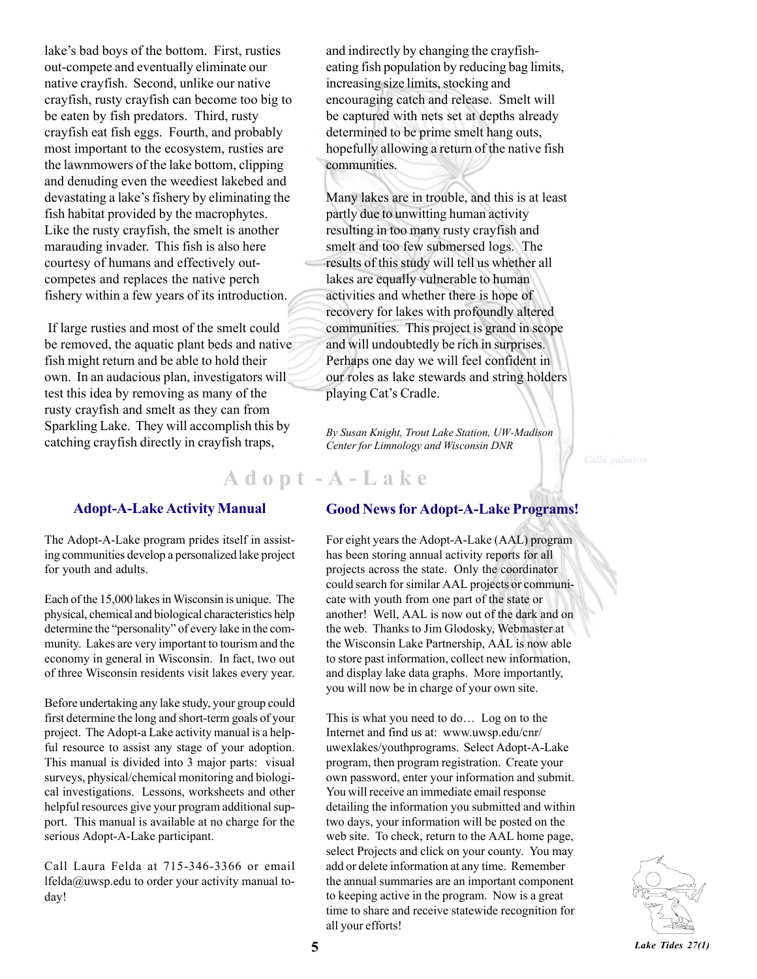lake's bad boys of the bottom. First, rusties out-compete and eventually eliminate our native crayfish. Second, unlike our native crayfish, rusty crayfish can become too big to be eaten by fish predators. Third, rusty crayfish eat fish eggs. Fourth, and probably most important to the ecosystem, rusties are the lawnmowers of the lake bottom, clipping and denuding even the weediest lakebed and devastating a lake's fishery by eliminating the fish habitat provided by the macrophytes. Like the rusty crayfish, the smelt is another marauding invader. This fish is also here courtesy of humans and effectively outcompetes and replaces the native perch fishery within a few years of its introduction.

 If large rusties and most of the smelt could be removed, the aquatic plant beds and native fish might return and be able to hold their own. In an audacious plan, investigators will test this idea by removing as many of the rusty crayfish and smelt as they can from Sparkling Lake. They will accomplish this by catching crayfish directly in crayfish traps,

#### **Adopt-A-Lake Activity Manual**

The Adopt-A-Lake program prides itself in assisting communities develop a personalized lake project for youth and adults.

Each of the 15,000 lakes in Wisconsin is unique. The physical, chemical and biological characteristics help determine the "personality" of every lake in the community. Lakes are very important to tourism and the economy in general in Wisconsin. In fact, two out of three Wisconsin residents visit lakes every year.

Before undertaking any lake study, your group could first determine the long and short-term goals of your project. The Adopt-a Lake activity manual is a helpful resource to assist any stage of your adoption. This manual is divided into 3 major parts: visual surveys, physical/chemical monitoring and biological investigations. Lessons, worksheets and other helpful resources give your program additional support. This manual is available at no charge for the serious Adopt-A-Lake participant.

Call Laura Felda at 715-346-3366 or email lfelda@uwsp.edu to order your activity manual today!

and indirectly by changing the crayfisheating fish population by reducing bag limits, increasing size limits, stocking and encouraging catch and release. Smelt will be captured with nets set at depths already determined to be prime smelt hang outs, hopefully allowing a return of the native fish communities.

Many lakes are in trouble, and this is at least partly due to unwitting human activity resulting in too many rusty crayfish and smelt and too few submersed logs. The results of this study will tell us whether all lakes are equally vulnerable to human activities and whether there is hope of recovery for lakes with profoundly altered communities. This project is grand in scope and will undoubtedly be rich in surprises. Perhaps one day we will feel confident in our roles as lake stewards and string holders playing Cat's Cradle.

*By Susan Knight, Trout Lake Station, UW-Madison Center for Limnology and Wisconsin DNR*

## **A d o p t - A - L a k e**

#### **Good News for Adopt-A-Lake Programs!**

For eight years the Adopt-A-Lake (AAL) program has been storing annual activity reports for all projects across the state. Only the coordinator could search for similar AAL projects or communicate with youth from one part of the state or another! Well, AAL is now out of the dark and on the web. Thanks to Jim Glodosky, Webmaster at the Wisconsin Lake Partnership, AAL is now able to store past information, collect new information, and display lake data graphs. More importantly, you will now be in charge of your own site.

This is what you need to do... Log on to the Internet and find us at: www.uwsp.edu/cnr/ uwexlakes/youthprograms. Select Adopt-A-Lake program, then program registration. Create your own password, enter your information and submit. You will receive an immediate email response detailing the information you submitted and within two days, your information will be posted on the web site. To check, return to the AAL home page, select Projects and click on your county. You may add or delete information at any time. Remember the annual summaries are an important component to keeping active in the program. Now is a great time to share and receive statewide recognition for all your efforts!

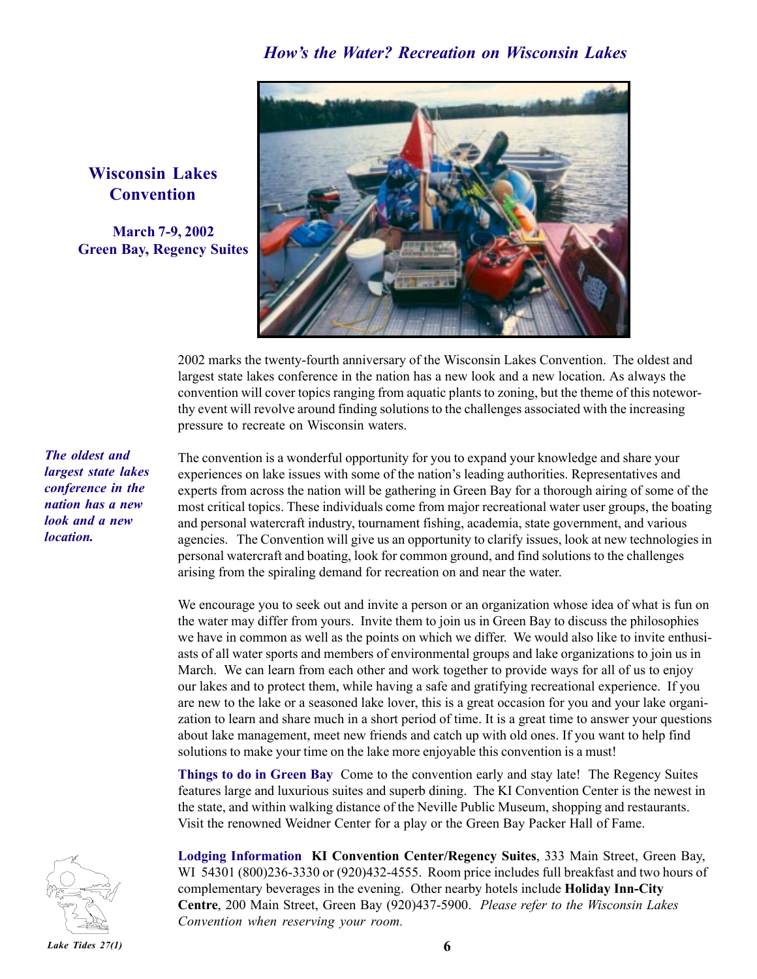

2002 marks the twenty-fourth anniversary of the Wisconsin Lakes Convention. The oldest and largest state lakes conference in the nation has a new look and a new location. As always the convention will cover topics ranging from aquatic plants to zoning, but the theme of this noteworthy event will revolve around finding solutions to the challenges associated with the increasing pressure to recreate on Wisconsin waters.

The convention is a wonderful opportunity for you to expand your knowledge and share your experiences on lake issues with some of the nation's leading authorities. Representatives and experts from across the nation will be gathering in Green Bay for a thorough airing of some of the most critical topics. These individuals come from major recreational water user groups, the boating and personal watercraft industry, tournament fishing, academia, state government, and various agencies. The Convention will give us an opportunity to clarify issues, look at new technologies in personal watercraft and boating, look for common ground, and find solutions to the challenges arising from the spiraling demand for recreation on and near the water.

We encourage you to seek out and invite a person or an organization whose idea of what is fun on the water may differ from yours. Invite them to join us in Green Bay to discuss the philosophies we have in common as well as the points on which we differ. We would also like to invite enthusiasts of all water sports and members of environmental groups and lake organizations to join us in March. We can learn from each other and work together to provide ways for all of us to enjoy our lakes and to protect them, while having a safe and gratifying recreational experience. If you are new to the lake or a seasoned lake lover, this is a great occasion for you and your lake organization to learn and share much in a short period of time. It is a great time to answer your questions about lake management, meet new friends and catch up with old ones. If you want to help find solutions to make your time on the lake more enjoyable this convention is a must!

**Things to do in Green Bay** Come to the convention early and stay late! The Regency Suites features large and luxurious suites and superb dining. The KI Convention Center is the newest in the state, and within walking distance of the Neville Public Museum, shopping and restaurants. Visit the renowned Weidner Center for a play or the Green Bay Packer Hall of Fame.

**Lodging Information KI Convention Center/Regency Suites**, 333 Main Street, Green Bay, WI 54301 (800)236-3330 or (920)432-4555. Room price includes full breakfast and two hours of complementary beverages in the evening. Other nearby hotels include **Holiday Inn-City Centre**, 200 Main Street, Green Bay (920)437-5900. *Please refer to the Wisconsin Lakes Convention when reserving your room.*

## **Wisconsin Lakes Convention**

**March 7-9, 2002 Green Bay, Regency Suites**

*The oldest and largest state lakes conference in the nation has a new look and a new location.*

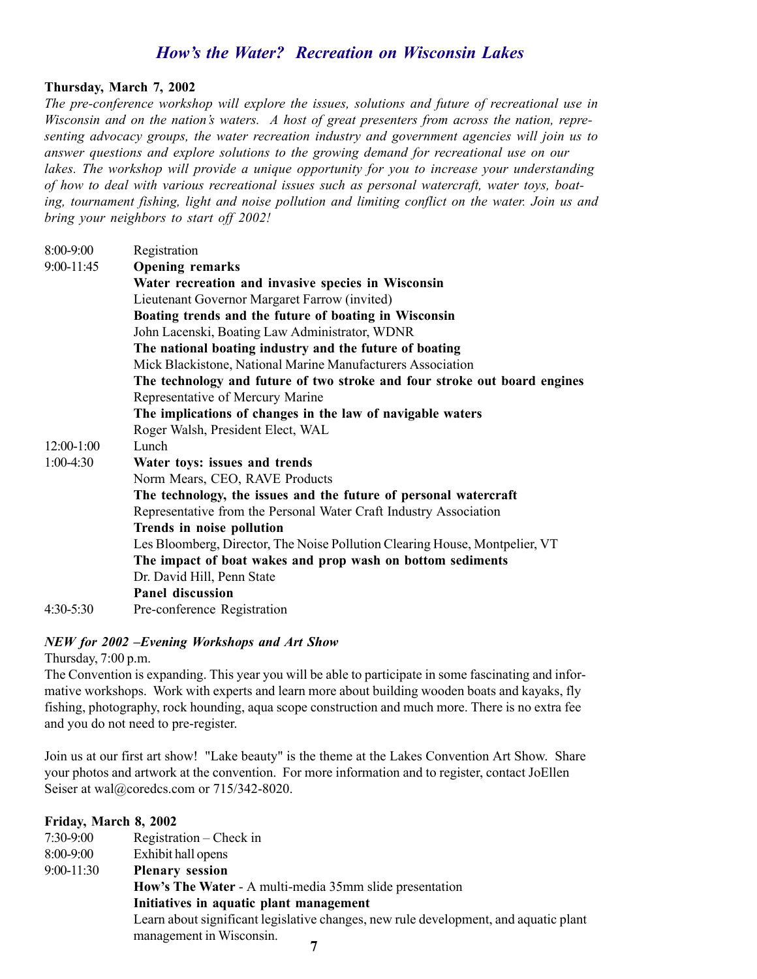## *Howís the Water? Recreation on Wisconsin Lakes*

#### **Thursday, March 7, 2002**

*The pre-conference workshop will explore the issues, solutions and future of recreational use in Wisconsin and on the nationís waters. A host of great presenters from across the nation, representing advocacy groups, the water recreation industry and government agencies will join us to answer questions and explore solutions to the growing demand for recreational use on our lakes. The workshop will provide a unique opportunity for you to increase your understanding of how to deal with various recreational issues such as personal watercraft, water toys, boating, tournament fishing, light and noise pollution and limiting conflict on the water. Join us and bring your neighbors to start off 2002!*

| 8:00-9:00    | Registration                                                                |
|--------------|-----------------------------------------------------------------------------|
| 9:00-11:45   | <b>Opening remarks</b>                                                      |
|              | Water recreation and invasive species in Wisconsin                          |
|              | Lieutenant Governor Margaret Farrow (invited)                               |
|              | Boating trends and the future of boating in Wisconsin                       |
|              | John Lacenski, Boating Law Administrator, WDNR                              |
|              | The national boating industry and the future of boating                     |
|              | Mick Blackistone, National Marine Manufacturers Association                 |
|              | The technology and future of two stroke and four stroke out board engines   |
|              | Representative of Mercury Marine                                            |
|              | The implications of changes in the law of navigable waters                  |
|              | Roger Walsh, President Elect, WAL                                           |
| $12:00-1:00$ | Lunch                                                                       |
| $1:00-4:30$  | Water toys: issues and trends                                               |
|              | Norm Mears, CEO, RAVE Products                                              |
|              | The technology, the issues and the future of personal watercraft            |
|              | Representative from the Personal Water Craft Industry Association           |
|              | Trends in noise pollution                                                   |
|              | Les Bloomberg, Director, The Noise Pollution Clearing House, Montpelier, VT |
|              | The impact of boat wakes and prop wash on bottom sediments                  |
|              | Dr. David Hill, Penn State                                                  |
|              | <b>Panel discussion</b>                                                     |
| $4:30-5:30$  | Pre-conference Registration                                                 |

#### *NEW for 2002 -Evening Workshops and Art Show*

Thursday, 7:00 p.m.

The Convention is expanding. This year you will be able to participate in some fascinating and informative workshops. Work with experts and learn more about building wooden boats and kayaks, fly fishing, photography, rock hounding, aqua scope construction and much more. There is no extra fee and you do not need to pre-register.

Join us at our first art show! "Lake beauty" is the theme at the Lakes Convention Art Show. Share your photos and artwork at the convention. For more information and to register, contact JoEllen Seiser at wal@coredcs.com or 715/342-8020.

| Friday, March 8, 2002 |                                                                                      |  |  |
|-----------------------|--------------------------------------------------------------------------------------|--|--|
| $7:30-9:00$           | Registration – Check in                                                              |  |  |
| $8:00-9:00$           | Exhibit hall opens                                                                   |  |  |
| $9:00-11:30$          | <b>Plenary session</b>                                                               |  |  |
|                       | How's The Water - A multi-media 35mm slide presentation                              |  |  |
|                       | Initiatives in aquatic plant management                                              |  |  |
|                       | Learn about significant legislative changes, new rule development, and aquatic plant |  |  |
|                       | management in Wisconsin.                                                             |  |  |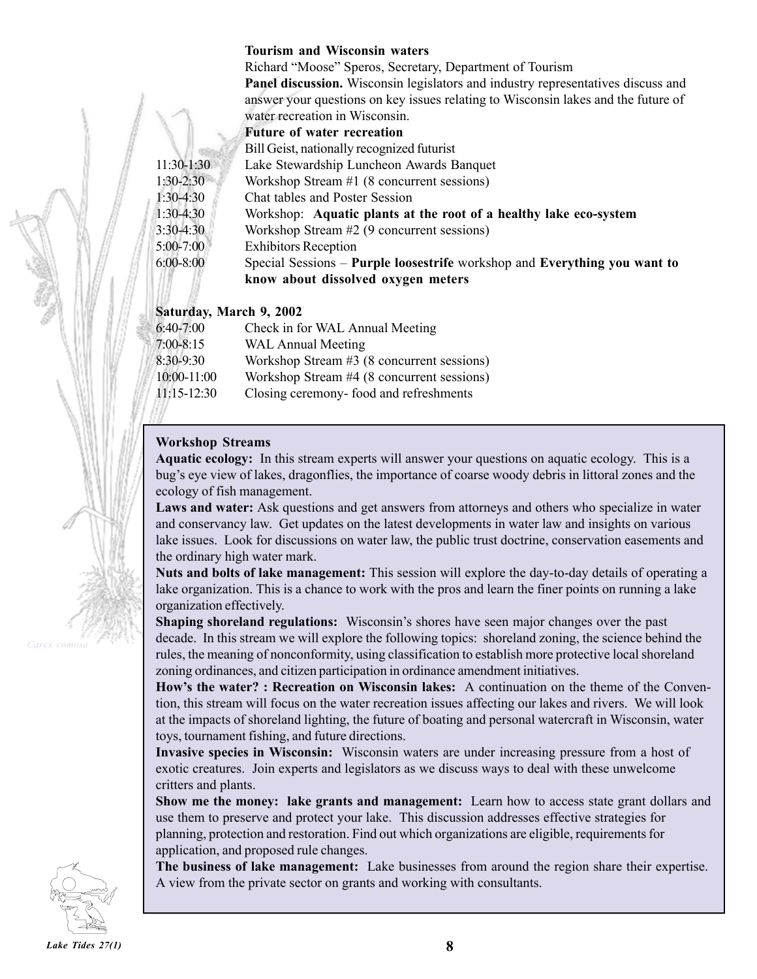#### **Tourism and Wisconsin waters**

Richard "Moose" Speros, Secretary, Department of Tourism **Panel discussion.** Wisconsin legislators and industry representatives discuss and answer your questions on key issues relating to Wisconsin lakes and the future of water recreation in Wisconsin.

#### **Future of water recreation**

Bill Geist, nationally recognized futurist

11:30-1:30 Lake Stewardship Luncheon Awards Banquet

1:30-2:30 Workshop Stream #1 (8 concurrent sessions)

1:30-4:30 Chat tables and Poster Session

1:30-4:30 Workshop: **Aquatic plants at the root of a healthy lake eco-system**

3:30-4:30 Workshop Stream #2 (9 concurrent sessions)

5:00-7:00 Exhibitors Reception

6:00-8:00 Special Sessions ñ **Purple loosestrife** workshop and **Everything you want to know about dissolved oxygen meters**

#### **Saturday, March 9, 2002**

| $6:40-7:00$   | Check in for WAL Annual Meeting            |
|---------------|--------------------------------------------|
| $7:00 - 8:15$ | <b>WAL Annual Meeting</b>                  |
| 8:30-9:30     | Workshop Stream #3 (8 concurrent sessions) |
| 10:00-11:00   | Workshop Stream #4 (8 concurrent sessions) |
| $11:15-12:30$ | Closing ceremony-food and refreshments     |

#### **Workshop Streams**

**Aquatic ecology:** In this stream experts will answer your questions on aquatic ecology. This is a bug's eye view of lakes, dragonflies, the importance of coarse woody debris in littoral zones and the ecology of fish management.

**Laws and water:** Ask questions and get answers from attorneys and others who specialize in water and conservancy law. Get updates on the latest developments in water law and insights on various lake issues. Look for discussions on water law, the public trust doctrine, conservation easements and the ordinary high water mark.

**Nuts and bolts of lake management:** This session will explore the day-to-day details of operating a lake organization. This is a chance to work with the pros and learn the finer points on running a lake organization effectively.

**Shaping shoreland regulations:** Wisconsin's shores have seen major changes over the past decade. In this stream we will explore the following topics: shoreland zoning, the science behind the rules, the meaning of nonconformity, using classification to establish more protective local shoreland zoning ordinances, and citizen participation in ordinance amendment initiatives.

How's the water? : Recreation on Wisconsin lakes: A continuation on the theme of the Convention, this stream will focus on the water recreation issues affecting our lakes and rivers. We will look at the impacts of shoreland lighting, the future of boating and personal watercraft in Wisconsin, water toys, tournament fishing, and future directions.

**Invasive species in Wisconsin:** Wisconsin waters are under increasing pressure from a host of exotic creatures. Join experts and legislators as we discuss ways to deal with these unwelcome critters and plants.

**Show me the money: lake grants and management:** Learn how to access state grant dollars and use them to preserve and protect your lake. This discussion addresses effective strategies for planning, protection and restoration. Find out which organizations are eligible, requirements for application, and proposed rule changes.

**The business of lake management:** Lake businesses from around the region share their expertise. A view from the private sector on grants and working with consultants.

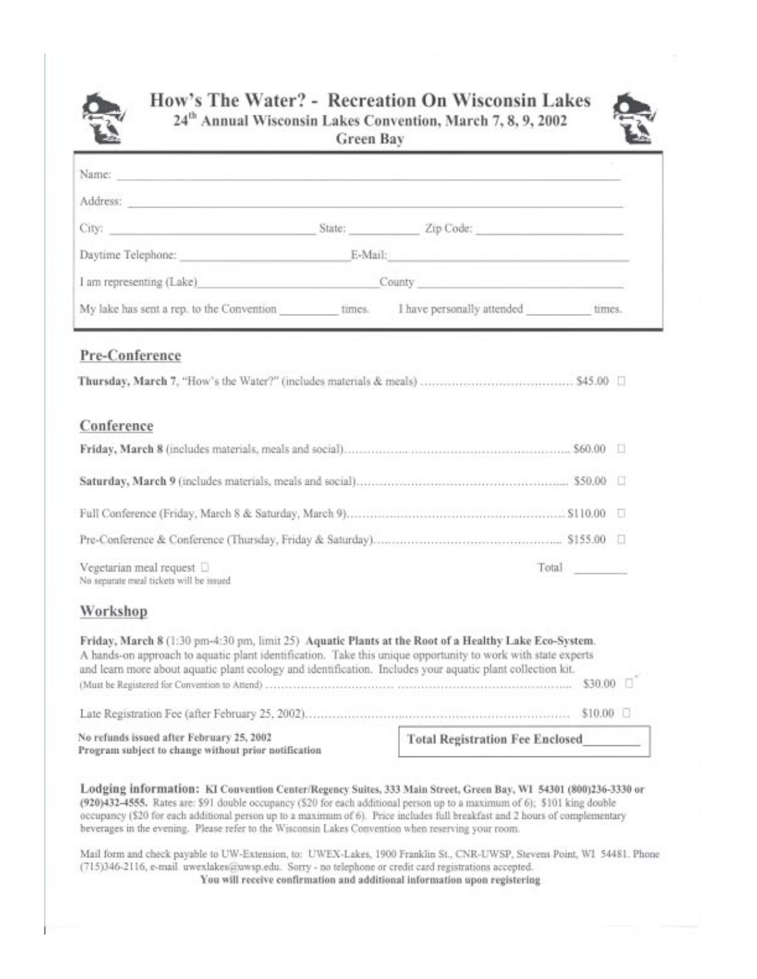

## How's The Water? - Recreation On Wisconsin Lakes 24<sup>th</sup> Annual Wisconsin Lakes Convention, March 7, 8, 9, 2002



| Green Bay |  |
|-----------|--|
|           |  |
|           |  |

| Name: and the contract of the contract of the contract of the contract of the contract of the contract of the contract of the contract of the contract of the contract of the contract of the contract of the contract of the                                                                                                                                                                                                                                                      |                                        |           |  |
|------------------------------------------------------------------------------------------------------------------------------------------------------------------------------------------------------------------------------------------------------------------------------------------------------------------------------------------------------------------------------------------------------------------------------------------------------------------------------------|----------------------------------------|-----------|--|
| Address: Andress: Andress: Andress: Andress: Andress: Andress: Andress: Andress: Andress: Andress: Andress: Andress: Andress: Andress: Andress: Andress: Andress: Andress: Andress: Andress: Andress: Andress: Andress: Andres                                                                                                                                                                                                                                                     |                                        |           |  |
|                                                                                                                                                                                                                                                                                                                                                                                                                                                                                    |                                        |           |  |
| Daytime Telephone: E-Mail: E-Mail:                                                                                                                                                                                                                                                                                                                                                                                                                                                 |                                        |           |  |
| I am representing (Lake) County County                                                                                                                                                                                                                                                                                                                                                                                                                                             |                                        |           |  |
| My lake has sent a rep. to the Convention times. I have personally attended times.                                                                                                                                                                                                                                                                                                                                                                                                 |                                        |           |  |
| Pre-Conference                                                                                                                                                                                                                                                                                                                                                                                                                                                                     |                                        |           |  |
|                                                                                                                                                                                                                                                                                                                                                                                                                                                                                    |                                        |           |  |
|                                                                                                                                                                                                                                                                                                                                                                                                                                                                                    |                                        |           |  |
| Conference                                                                                                                                                                                                                                                                                                                                                                                                                                                                         |                                        |           |  |
|                                                                                                                                                                                                                                                                                                                                                                                                                                                                                    |                                        |           |  |
|                                                                                                                                                                                                                                                                                                                                                                                                                                                                                    |                                        |           |  |
|                                                                                                                                                                                                                                                                                                                                                                                                                                                                                    |                                        |           |  |
|                                                                                                                                                                                                                                                                                                                                                                                                                                                                                    |                                        |           |  |
| Vegetarian meal request [<br>No separate meal tickets will be issued                                                                                                                                                                                                                                                                                                                                                                                                               |                                        | Total     |  |
| Workshop                                                                                                                                                                                                                                                                                                                                                                                                                                                                           |                                        |           |  |
| Friday, March 8 (1:30 pm-4:30 pm, limit 25) Aquatic Plants at the Root of a Healthy Lake Eco-System.<br>A hands-on approach to aquatic plant identification. Take this unique opportunity to work with state experts<br>and learn more about aquatic plant ecology and identification. Includes your aquatic plant collection kit.                                                                                                                                                 |                                        |           |  |
|                                                                                                                                                                                                                                                                                                                                                                                                                                                                                    |                                        | \$10.00 □ |  |
| No refunds issued after February 25, 2002<br>Program subject to change without prior notification                                                                                                                                                                                                                                                                                                                                                                                  | <b>Total Registration Fee Enclosed</b> |           |  |
| Lodging information: KI Convention Center/Regency Suites, 333 Main Street, Green Bay, WI 54301 (800)236-3330 or<br>(920)432-4555. Rates are: \$91 double occupancy (\$20 for each additional person up to a maximum of 6); \$101 king double<br>occupancy (\$20 for each additional person up to a maximum of 6). Price includes full breakfast and 2 hours of complementary<br>beverages in the evening. Please refer to the Wisconsin Lakes Convention when reserving your room. |                                        |           |  |

Mail form and check payable to UW-Extension, to: UWEX-Lakes, 1900 Franklin St., CNR-UWSP, Stevens Point, WI 54481. Phone (715)346-2116, e-mail uwexlakes@uwsp.edu. Sorry - no telephone or credit card registrations accepted. You will receive confirmation and additional information upon registering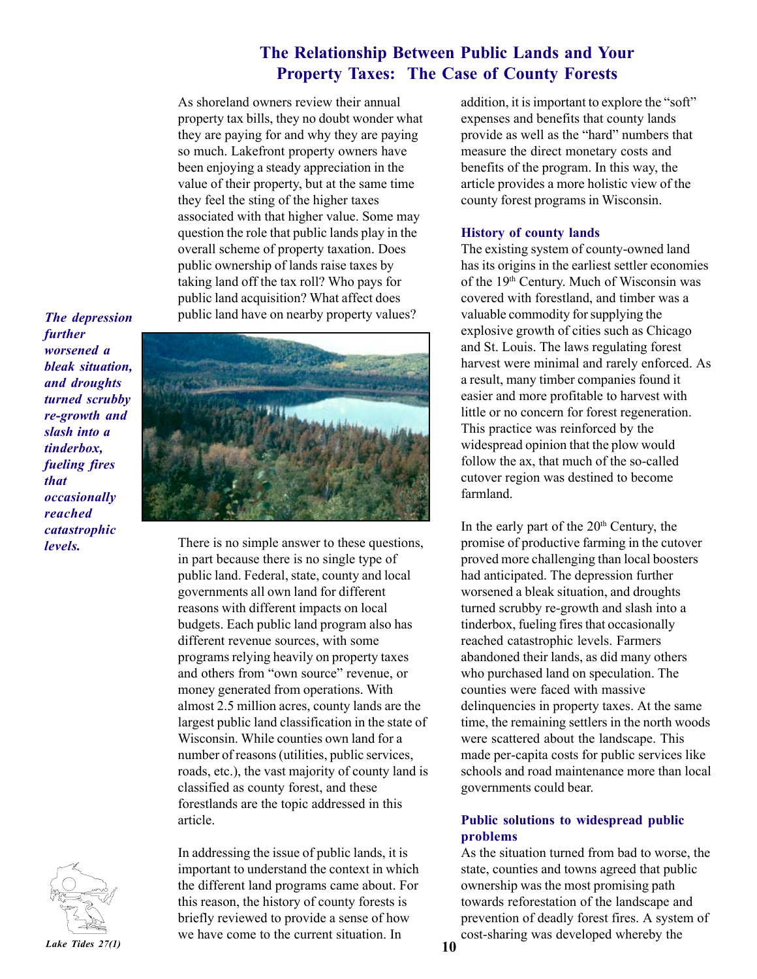### **The Relationship Between Public Lands and Your Property Taxes: The Case of County Forests**

As shoreland owners review their annual property tax bills, they no doubt wonder what they are paying for and why they are paying so much. Lakefront property owners have been enjoying a steady appreciation in the value of their property, but at the same time they feel the sting of the higher taxes associated with that higher value. Some may question the role that public lands play in the overall scheme of property taxation. Does public ownership of lands raise taxes by taking land off the tax roll? Who pays for public land acquisition? What affect does public land have on nearby property values?

*The depression further worsened a bleak situation, and droughts turned scrubby re-growth and slash into a tinderbox, fueling fires that occasionally reached catastrophic levels.*



There is no simple answer to these questions, in part because there is no single type of public land. Federal, state, county and local governments all own land for different reasons with different impacts on local budgets. Each public land program also has different revenue sources, with some programs relying heavily on property taxes and others from "own source" revenue, or money generated from operations. With almost 2.5 million acres, county lands are the largest public land classification in the state of Wisconsin. While counties own land for a number of reasons (utilities, public services, roads, etc.), the vast majority of county land is classified as county forest, and these forestlands are the topic addressed in this article.



**10** *Lake Tides 27(1)* In addressing the issue of public lands, it is important to understand the context in which the different land programs came about. For this reason, the history of county forests is briefly reviewed to provide a sense of how we have come to the current situation. In

addition, it is important to explore the "soft" expenses and benefits that county lands provide as well as the "hard" numbers that measure the direct monetary costs and benefits of the program. In this way, the article provides a more holistic view of the county forest programs in Wisconsin.

#### **History of county lands**

The existing system of county-owned land has its origins in the earliest settler economies of the 19th Century. Much of Wisconsin was covered with forestland, and timber was a valuable commodity for supplying the explosive growth of cities such as Chicago and St. Louis. The laws regulating forest harvest were minimal and rarely enforced. As a result, many timber companies found it easier and more profitable to harvest with little or no concern for forest regeneration. This practice was reinforced by the widespread opinion that the plow would follow the ax, that much of the so-called cutover region was destined to become farmland.

In the early part of the  $20<sup>th</sup>$  Century, the promise of productive farming in the cutover proved more challenging than local boosters had anticipated. The depression further worsened a bleak situation, and droughts turned scrubby re-growth and slash into a tinderbox, fueling fires that occasionally reached catastrophic levels. Farmers abandoned their lands, as did many others who purchased land on speculation. The counties were faced with massive delinquencies in property taxes. At the same time, the remaining settlers in the north woods were scattered about the landscape. This made per-capita costs for public services like schools and road maintenance more than local governments could bear.

#### **Public solutions to widespread public problems**

As the situation turned from bad to worse, the state, counties and towns agreed that public ownership was the most promising path towards reforestation of the landscape and prevention of deadly forest fires. A system of cost-sharing was developed whereby the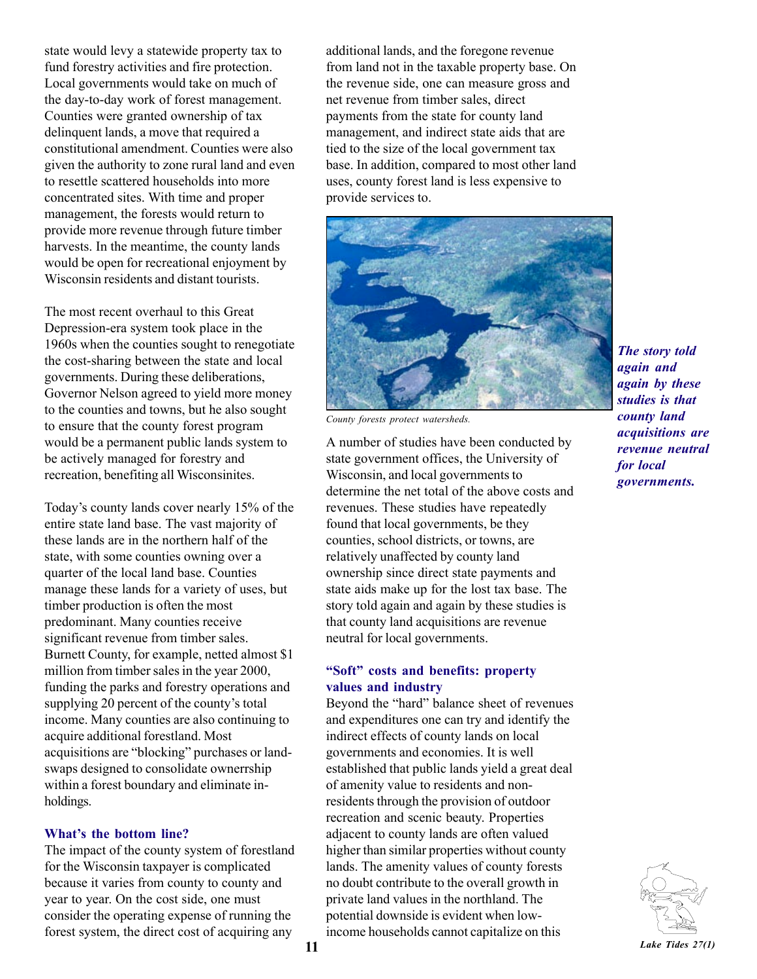state would levy a statewide property tax to fund forestry activities and fire protection. Local governments would take on much of the day-to-day work of forest management. Counties were granted ownership of tax delinquent lands, a move that required a constitutional amendment. Counties were also given the authority to zone rural land and even to resettle scattered households into more concentrated sites. With time and proper management, the forests would return to provide more revenue through future timber harvests. In the meantime, the county lands would be open for recreational enjoyment by Wisconsin residents and distant tourists.

The most recent overhaul to this Great Depression-era system took place in the 1960s when the counties sought to renegotiate the cost-sharing between the state and local governments. During these deliberations, Governor Nelson agreed to yield more money to the counties and towns, but he also sought to ensure that the county forest program would be a permanent public lands system to be actively managed for forestry and recreation, benefiting all Wisconsinites.

Today's county lands cover nearly 15% of the entire state land base. The vast majority of these lands are in the northern half of the state, with some counties owning over a quarter of the local land base. Counties manage these lands for a variety of uses, but timber production is often the most predominant. Many counties receive significant revenue from timber sales. Burnett County, for example, netted almost \$1 million from timber sales in the year 2000, funding the parks and forestry operations and supplying 20 percent of the county's total income. Many counties are also continuing to acquire additional forestland. Most acquisitions are "blocking" purchases or landswaps designed to consolidate ownerrship within a forest boundary and eliminate inholdings.

#### **What's the bottom line?**

The impact of the county system of forestland for the Wisconsin taxpayer is complicated because it varies from county to county and year to year. On the cost side, one must consider the operating expense of running the forest system, the direct cost of acquiring any

additional lands, and the foregone revenue from land not in the taxable property base. On the revenue side, one can measure gross and net revenue from timber sales, direct payments from the state for county land management, and indirect state aids that are tied to the size of the local government tax base. In addition, compared to most other land uses, county forest land is less expensive to provide services to.



*County forests protect watersheds.*

A number of studies have been conducted by state government offices, the University of Wisconsin, and local governments to determine the net total of the above costs and revenues. These studies have repeatedly found that local governments, be they counties, school districts, or towns, are relatively unaffected by county land ownership since direct state payments and state aids make up for the lost tax base. The story told again and again by these studies is that county land acquisitions are revenue neutral for local governments.

#### **ìSoftî costs and benefits: property values and industry**

Beyond the "hard" balance sheet of revenues and expenditures one can try and identify the indirect effects of county lands on local governments and economies. It is well established that public lands yield a great deal of amenity value to residents and nonresidents through the provision of outdoor recreation and scenic beauty. Properties adjacent to county lands are often valued higher than similar properties without county lands. The amenity values of county forests no doubt contribute to the overall growth in private land values in the northland. The potential downside is evident when lowincome households cannot capitalize on this

*The story told again and again by these studies is that county land acquisitions are revenue neutral for local governments.*

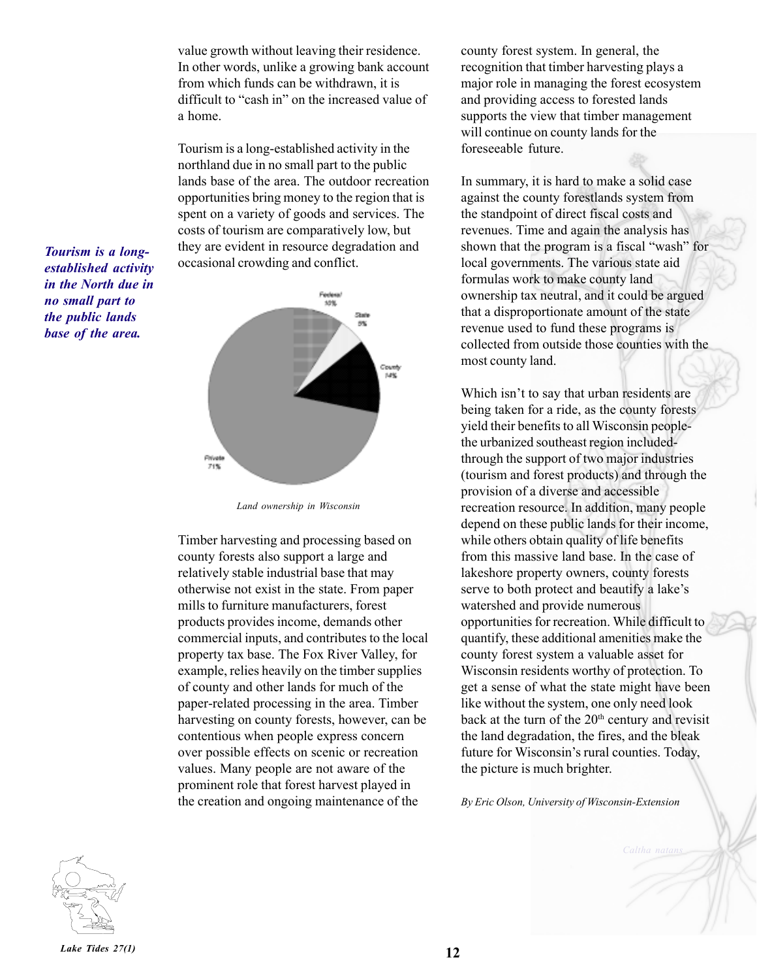value growth without leaving their residence. In other words, unlike a growing bank account from which funds can be withdrawn, it is difficult to "cash in" on the increased value of a home.

Tourism is a long-established activity in the northland due in no small part to the public lands base of the area. The outdoor recreation opportunities bring money to the region that is spent on a variety of goods and services. The costs of tourism are comparatively low, but they are evident in resource degradation and occasional crowding and conflict.



*no small part to the public lands base of the area.*

*Tourism is a longestablished activity in the North due in*

*Land ownership in Wisconsin*

Timber harvesting and processing based on county forests also support a large and relatively stable industrial base that may otherwise not exist in the state. From paper mills to furniture manufacturers, forest products provides income, demands other commercial inputs, and contributes to the local property tax base. The Fox River Valley, for example, relies heavily on the timber supplies of county and other lands for much of the paper-related processing in the area. Timber harvesting on county forests, however, can be contentious when people express concern over possible effects on scenic or recreation values. Many people are not aware of the prominent role that forest harvest played in the creation and ongoing maintenance of the

county forest system. In general, the recognition that timber harvesting plays a major role in managing the forest ecosystem and providing access to forested lands supports the view that timber management will continue on county lands for the foreseeable future.

In summary, it is hard to make a solid case against the county forestlands system from the standpoint of direct fiscal costs and revenues. Time and again the analysis has shown that the program is a fiscal "wash" for local governments. The various state aid formulas work to make county land ownership tax neutral, and it could be argued that a disproportionate amount of the state revenue used to fund these programs is collected from outside those counties with the most county land.

Which isn't to say that urban residents are being taken for a ride, as the county forests yield their benefits to all Wisconsin peoplethe urbanized southeast region includedthrough the support of two major industries (tourism and forest products) and through the provision of a diverse and accessible recreation resource. In addition, many people depend on these public lands for their income, while others obtain quality of life benefits from this massive land base. In the case of lakeshore property owners, county forests serve to both protect and beautify a lake's watershed and provide numerous opportunities for recreation. While difficult to quantify, these additional amenities make the county forest system a valuable asset for Wisconsin residents worthy of protection. To get a sense of what the state might have been like without the system, one only need look back at the turn of the 20<sup>th</sup> century and revisit the land degradation, the fires, and the bleak future for Wisconsin's rural counties. Today, the picture is much brighter.

*By Eric Olson, University of Wisconsin-Extension*



*Lake Tides 27(1)* **12**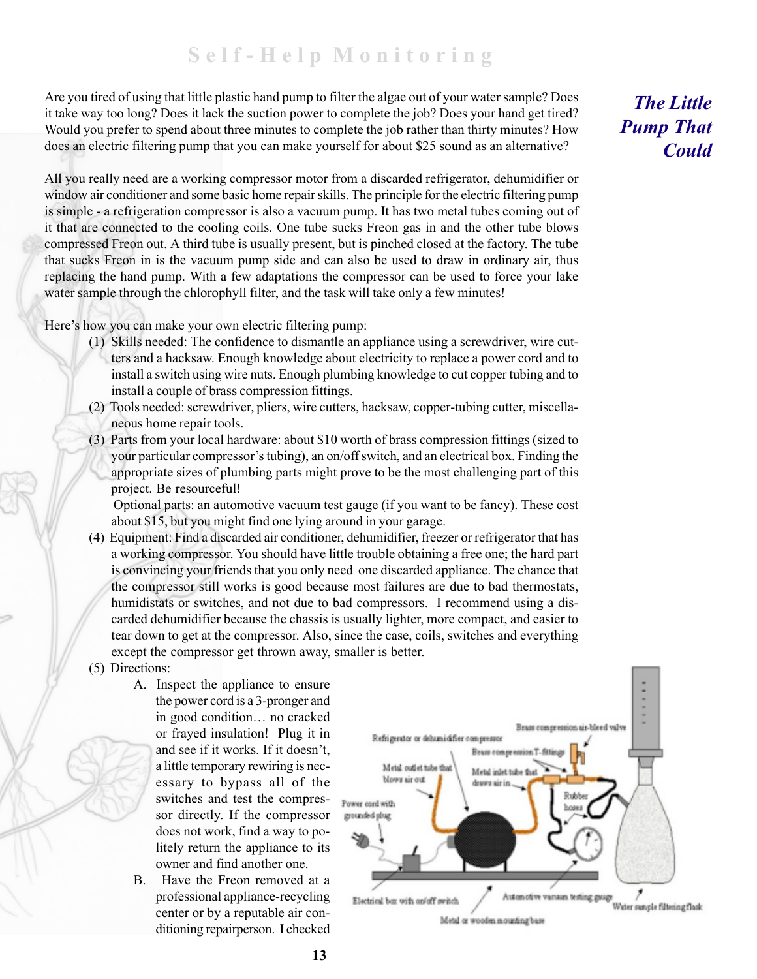## **S e l f - H e l p M o n i t o r i n g**

Are you tired of using that little plastic hand pump to filter the algae out of your water sample? Does it take way too long? Does it lack the suction power to complete the job? Does your hand get tired? Would you prefer to spend about three minutes to complete the job rather than thirty minutes? How does an electric filtering pump that you can make yourself for about \$25 sound as an alternative?

All you really need are a working compressor motor from a discarded refrigerator, dehumidifier or window air conditioner and some basic home repair skills. The principle for the electric filtering pump is simple - a refrigeration compressor is also a vacuum pump. It has two metal tubes coming out of it that are connected to the cooling coils. One tube sucks Freon gas in and the other tube blows compressed Freon out. A third tube is usually present, but is pinched closed at the factory. The tube that sucks Freon in is the vacuum pump side and can also be used to draw in ordinary air, thus replacing the hand pump. With a few adaptations the compressor can be used to force your lake water sample through the chlorophyll filter, and the task will take only a few minutes!

Here's how you can make your own electric filtering pump:

- (1) Skills needed: The confidence to dismantle an appliance using a screwdriver, wire cutters and a hacksaw. Enough knowledge about electricity to replace a power cord and to install a switch using wire nuts. Enough plumbing knowledge to cut copper tubing and to install a couple of brass compression fittings.
- (2) Tools needed: screwdriver, pliers, wire cutters, hacksaw, copper-tubing cutter, miscellaneous home repair tools.
- (3) Parts from your local hardware: about \$10 worth of brass compression fittings (sized to your particular compressor's tubing), an on/off switch, and an electrical box. Finding the appropriate sizes of plumbing parts might prove to be the most challenging part of this project. Be resourceful!

 Optional parts: an automotive vacuum test gauge (if you want to be fancy). These cost about \$15, but you might find one lying around in your garage.

- (4) Equipment: Find a discarded air conditioner, dehumidifier, freezer or refrigerator that has a working compressor. You should have little trouble obtaining a free one; the hard part is convincing your friends that you only need one discarded appliance. The chance that the compressor still works is good because most failures are due to bad thermostats, humidistats or switches, and not due to bad compressors. I recommend using a discarded dehumidifier because the chassis is usually lighter, more compact, and easier to tear down to get at the compressor. Also, since the case, coils, switches and everything except the compressor get thrown away, smaller is better.
- (5) Directions:
	- A. Inspect the appliance to ensure the power cord is a 3-pronger and in good condition... no cracked or frayed insulation! Plug it in and see if it works. If it doesn't, a little temporary rewiring is necessary to bypass all of the switches and test the compressor directly. If the compressor does not work, find a way to politely return the appliance to its owner and find another one.
	- B. Have the Freon removed at a professional appliance-recycling center or by a reputable air conditioning repairperson. I checked



*The Little Pump That Could*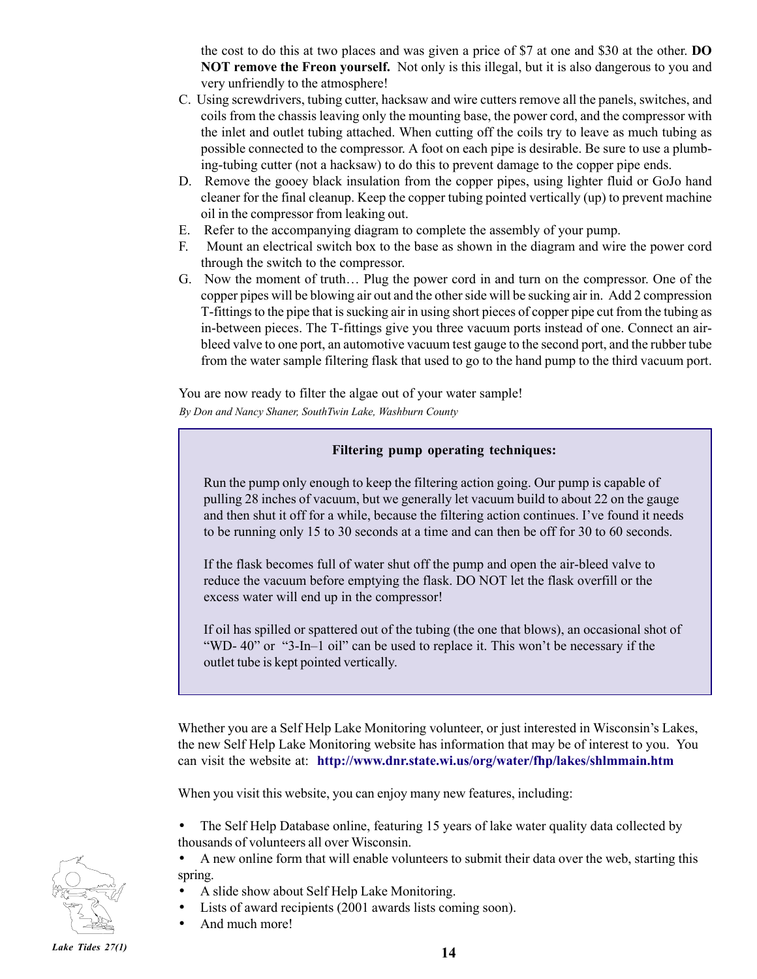the cost to do this at two places and was given a price of \$7 at one and \$30 at the other. **DO NOT remove the Freon yourself.** Not only is this illegal, but it is also dangerous to you and very unfriendly to the atmosphere!

- C. Using screwdrivers, tubing cutter, hacksaw and wire cutters remove all the panels, switches, and coils from the chassis leaving only the mounting base, the power cord, and the compressor with the inlet and outlet tubing attached. When cutting off the coils try to leave as much tubing as possible connected to the compressor. A foot on each pipe is desirable. Be sure to use a plumbing-tubing cutter (not a hacksaw) to do this to prevent damage to the copper pipe ends.
- D. Remove the gooey black insulation from the copper pipes, using lighter fluid or GoJo hand cleaner for the final cleanup. Keep the copper tubing pointed vertically (up) to prevent machine oil in the compressor from leaking out.
- E. Refer to the accompanying diagram to complete the assembly of your pump.
- F. Mount an electrical switch box to the base as shown in the diagram and wire the power cord through the switch to the compressor.
- G. Now the moment of truth... Plug the power cord in and turn on the compressor. One of the copper pipes will be blowing air out and the other side will be sucking air in. Add 2 compression T-fittings to the pipe that is sucking air in using short pieces of copper pipe cut from the tubing as in-between pieces. The T-fittings give you three vacuum ports instead of one. Connect an airbleed valve to one port, an automotive vacuum test gauge to the second port, and the rubber tube from the water sample filtering flask that used to go to the hand pump to the third vacuum port.

You are now ready to filter the algae out of your water sample!

*By Don and Nancy Shaner, SouthTwin Lake, Washburn County*

#### **Filtering pump operating techniques:**

Run the pump only enough to keep the filtering action going. Our pump is capable of pulling 28 inches of vacuum, but we generally let vacuum build to about 22 on the gauge and then shut it off for a while, because the filtering action continues. I've found it needs to be running only 15 to 30 seconds at a time and can then be off for 30 to 60 seconds.

If the flask becomes full of water shut off the pump and open the air-bleed valve to reduce the vacuum before emptying the flask. DO NOT let the flask overfill or the excess water will end up in the compressor!

If oil has spilled or spattered out of the tubing (the one that blows), an occasional shot of "WD-  $40$ " or "3-In-1 oil" can be used to replace it. This won't be necessary if the outlet tube is kept pointed vertically.

Whether you are a Self Help Lake Monitoring volunteer, or just interested in Wisconsin's Lakes, the new Self Help Lake Monitoring website has information that may be of interest to you. You can visit the website at: **http://www.dnr.state.wi.us/org/water/fhp/lakes/shlmmain.htm**

When you visit this website, you can enjoy many new features, including:

- The Self Help Database online, featuring 15 years of lake water quality data collected by thousands of volunteers all over Wisconsin.
- A new online form that will enable volunteers to submit their data over the web, starting this spring.
- A slide show about Self Help Lake Monitoring.
- Lists of award recipients (2001 awards lists coming soon).
- And much more!

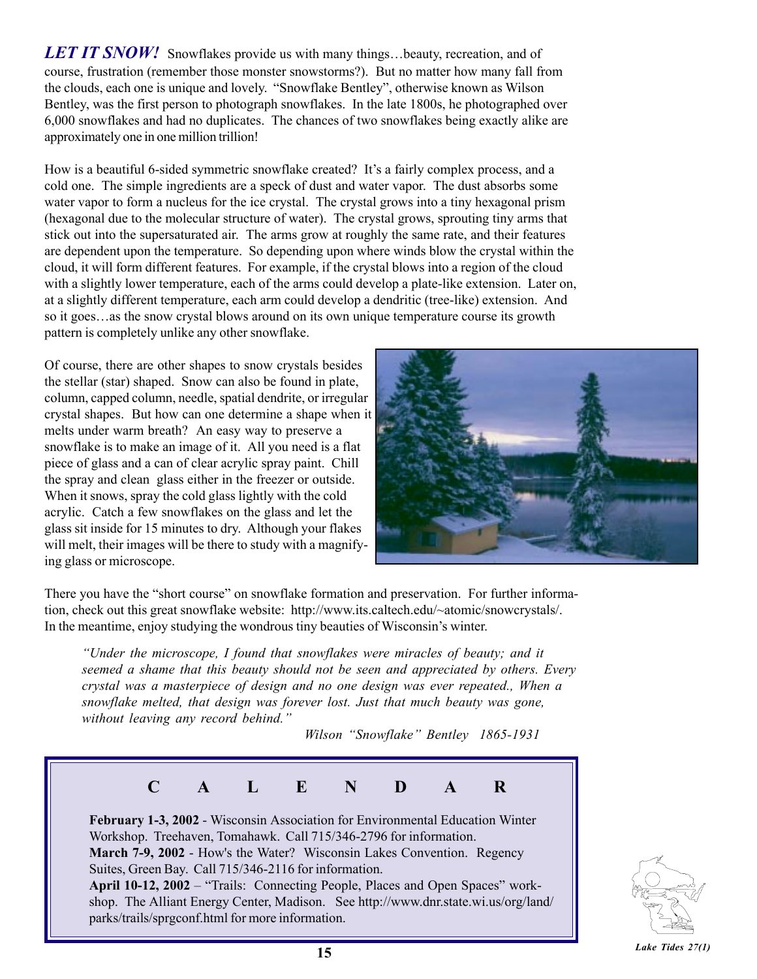**LET IT SNOW!** Snowflakes provide us with many things...beauty, recreation, and of course, frustration (remember those monster snowstorms?). But no matter how many fall from the clouds, each one is unique and lovely. "Snowflake Bentley", otherwise known as Wilson Bentley, was the first person to photograph snowflakes. In the late 1800s, he photographed over 6,000 snowflakes and had no duplicates. The chances of two snowflakes being exactly alike are approximately one in one million trillion!

How is a beautiful 6-sided symmetric snowflake created? It's a fairly complex process, and a cold one. The simple ingredients are a speck of dust and water vapor. The dust absorbs some water vapor to form a nucleus for the ice crystal. The crystal grows into a tiny hexagonal prism (hexagonal due to the molecular structure of water). The crystal grows, sprouting tiny arms that stick out into the supersaturated air. The arms grow at roughly the same rate, and their features are dependent upon the temperature. So depending upon where winds blow the crystal within the cloud, it will form different features. For example, if the crystal blows into a region of the cloud with a slightly lower temperature, each of the arms could develop a plate-like extension. Later on, at a slightly different temperature, each arm could develop a dendritic (tree-like) extension. And so it goes...as the snow crystal blows around on its own unique temperature course its growth pattern is completely unlike any other snowflake.

Of course, there are other shapes to snow crystals besides the stellar (star) shaped. Snow can also be found in plate, column, capped column, needle, spatial dendrite, or irregular crystal shapes. But how can one determine a shape when it melts under warm breath? An easy way to preserve a snowflake is to make an image of it. All you need is a flat piece of glass and a can of clear acrylic spray paint. Chill the spray and clean glass either in the freezer or outside. When it snows, spray the cold glass lightly with the cold acrylic. Catch a few snowflakes on the glass and let the glass sit inside for 15 minutes to dry. Although your flakes will melt, their images will be there to study with a magnifying glass or microscope.



There you have the "short course" on snowflake formation and preservation. For further information, check out this great snowflake website: http://www.its.caltech.edu/~atomic/snowcrystals/. In the meantime, enjoy studying the wondrous tiny beauties of Wisconsin's winter.

*ìUnder the microscope, I found that snowflakes were miracles of beauty; and it seemed a shame that this beauty should not be seen and appreciated by others. Every crystal was a masterpiece of design and no one design was ever repeated., When a snowflake melted, that design was forever lost. Just that much beauty was gone,* without leaving any record behind.<sup>"</sup>

*Wilson "Snowflake" Bentley 1865-1931*